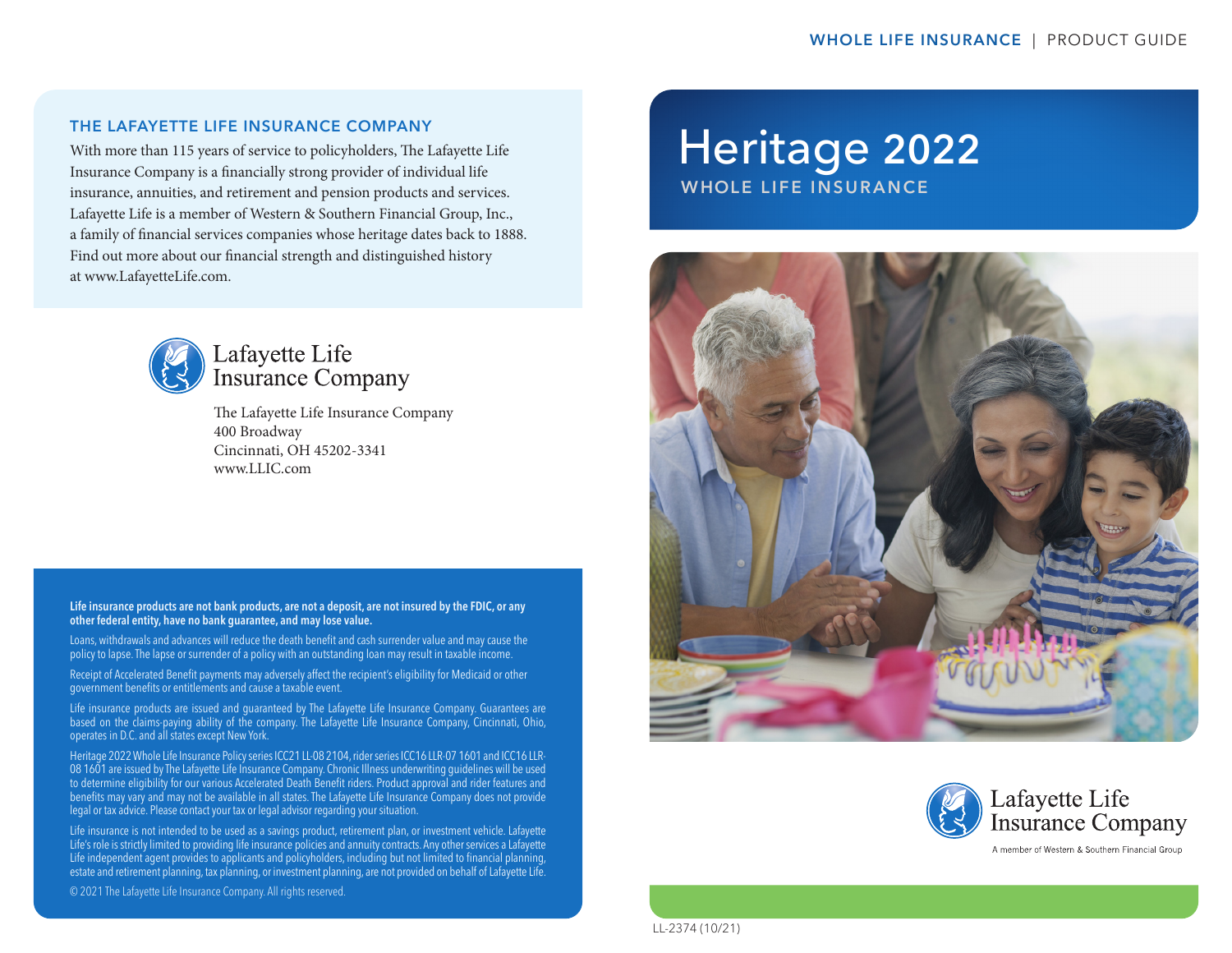#### THE LAFAYETTE LIFE INSURANCE COMPANY

With more than 115 years of service to policyholders, The Lafayette Life Insurance Company is a financially strong provider of individual life insurance, annuities, and retirement and pension products and services. Lafayette Life is a member of Western & Southern Financial Group, Inc., a family of financial services companies whose heritage dates back to 1888. Find out more about our financial strength and distinguished history at www.LafayetteLife.com.



## Lafayette Life **Insurance Company**

The Lafayette Life Insurance Company 400 Broadway Cincinnati, OH 45202-3341 www.LLIC.com

Life insurance products are not bank products, are not a deposit, are not insured by the FDIC, or any other federal entity, have no bank guarantee, and may lose value.

Loans, withdrawals and advances will reduce the death benefit and cash surrender value and may cause the policy to lapse. The lapse or surrender of a policy with an outstanding loan may result in taxable income.

Receipt of Accelerated Benefit payments may adversely affect the recipient's eligibility for Medicaid or other government benefits or entitlements and cause a taxable event.

Life insurance products are issued and guaranteed by The Lafayette Life Insurance Company. Guarantees are based on the claims-paying ability of the company. The Lafayette Life Insurance Company, Cincinnati, Ohio, operates in D.C. and all states except New York.

Heritage 2022 Whole Life Insurance Policy series ICC21 LL-08 2104, rider series ICC16 LLR-07 1601 and ICC16 LLR-08 1601 are issued by The Lafayette Life Insurance Company. Chronic Illness underwriting guidelines will be used to determine eligibility for our various Accelerated Death Benefit riders. Product approval and rider features and benefits may vary and may not be available in all states. The Lafayette Life Insurance Company does not provide legal or tax advice. Please contact your tax or legal advisor regarding your situation.

Life insurance is not intended to be used as a savings product, retirement plan, or investment vehicle. Lafayette Life's role is strictly limited to providing life insurance policies and annuity contracts. Any other services a Lafayette Life independent agent provides to applicants and policyholders, including but not limited to financial planning, estate and retirement planning, tax planning, or investment planning, are not provided on behalf of Lafayette Life.

© 2021 The Lafayette Life Insurance Company. All rights reserved.

# Heritage 2022 WHOLE LIFE INSURANCE





LL-2374 (10/21)